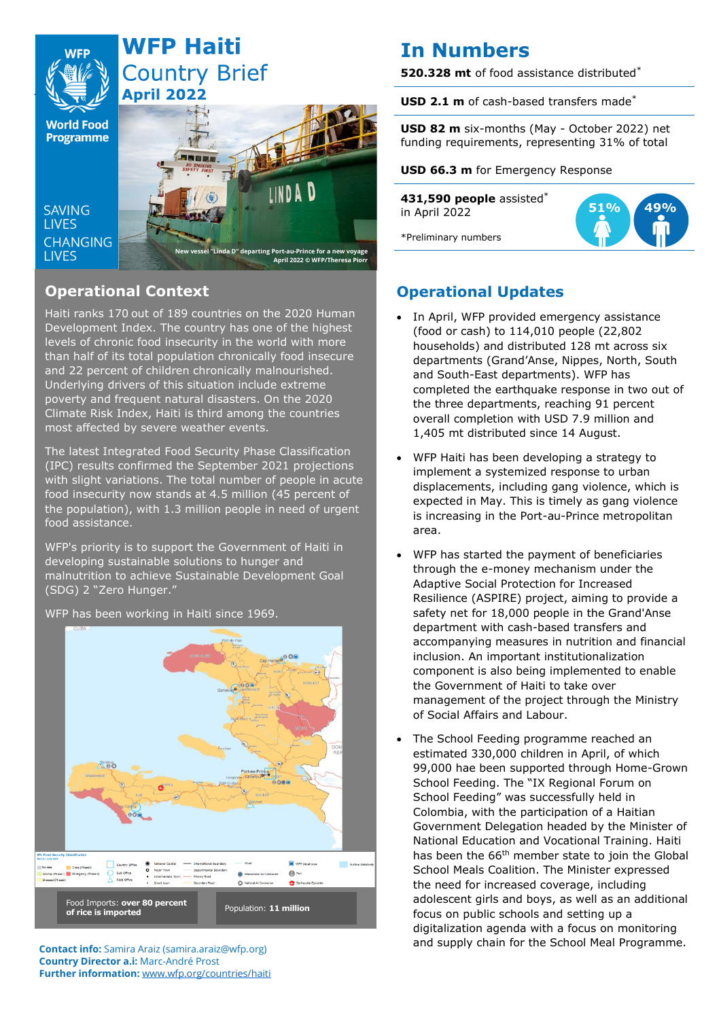

# **Operational Context**

Haiti ranks 170 out of 189 countries on the 2020 Human Development Index. The country has one of the highest levels of chronic food insecurity in the world with more than half of its total population chronically food insecure and 22 percent of children chronically malnourished. Underlying drivers of this situation include extreme poverty and frequent natural disasters. On the 2020 Climate Risk Index, Haiti is third among the countries most affected by severe weather events.

The latest Integrated Food Security Phase Classification (IPC) results confirmed the September 2021 projections with slight variations. The total number of people in acute food insecurity now stands at 4.5 million (45 percent of the population), with 1.3 million people in need of urgent food assistance.

WFP's priority is to support the Government of Haiti in developing sustainable solutions to hunger and malnutrition to achieve Sustainable Development Goal (SDG) 2 "Zero Hunger."



### WFP has been working in Haiti since 1969.

**Contact info:** Samira Araiz (samira.araiz@wfp.org) **Country Director a.i:** Marc-André Prost **Further information:** [www.wfp.org/countries/haiti](http://www.wfp.org/countries/haiti)

# **In Numbers**

**520.328 mt** of food assistance distributed\*

**USD 2.1 m** of cash-based transfers made\*

**USD 82 m** six-months (May - October 2022) net funding requirements, representing 31% of total

**USD 66.3 m** for Emergency Response

**431,590 people** assisted\* in April 2022



\*Preliminary numbers

## **Operational Updates**

- In April, WFP provided emergency assistance (food or cash) to 114,010 people (22,802 households) and distributed 128 mt across six departments (Grand'Anse, Nippes, North, South and South-East departments). WFP has completed the earthquake response in two out of the three departments, reaching 91 percent overall completion with USD 7.9 million and 1,405 mt distributed since 14 August.
- WFP Haiti has been developing a strategy to implement a systemized response to urban displacements, including gang violence, which is expected in May. This is timely as gang violence is increasing in the Port-au-Prince metropolitan area.
- WFP has started the payment of beneficiaries through the e-money mechanism under the Adaptive Social Protection for Increased Resilience (ASPIRE) project, aiming to provide a safety net for 18,000 people in the Grand'Anse department with cash-based transfers and accompanying measures in nutrition and financial inclusion. An important institutionalization component is also being implemented to enable the Government of Haiti to take over management of the project through the Ministry of Social Affairs and Labour.
- The School Feeding programme reached an estimated 330,000 children in April, of which 99,000 hae been supported through Home-Grown School Feeding. The "IX Regional Forum on School Feeding" was successfully held in Colombia, with the participation of a Haitian Government Delegation headed by the Minister of National Education and Vocational Training. Haiti has been the 66<sup>th</sup> member state to join the Global School Meals Coalition. The Minister expressed the need for increased coverage, including adolescent girls and boys, as well as an additional focus on public schools and setting up a digitalization agenda with a focus on monitoring and supply chain for the School Meal Programme.